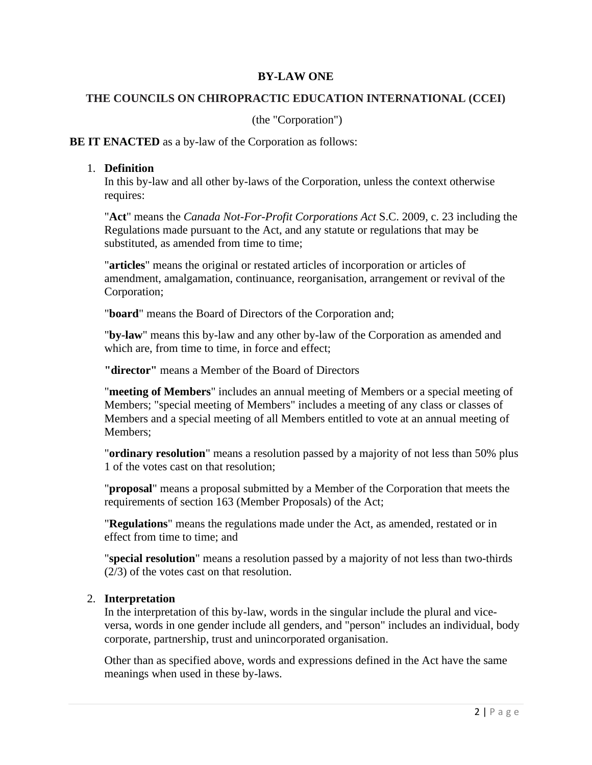#### **BY-LAW ONE**

## **THE COUNCILS ON CHIROPRACTIC EDUCATION INTERNATIONAL (CCEI)**

(the "Corporation")

#### **BE IT ENACTED** as a by-law of the Corporation as follows:

#### 1. **Definition**

In this by-law and all other by-laws of the Corporation, unless the context otherwise requires:

"**Act**" means the *Canada Not-For-Profit Corporations Act* S.C. 2009, c. 23 including the Regulations made pursuant to the Act, and any statute or regulations that may be substituted, as amended from time to time:

"**articles**" means the original or restated articles of incorporation or articles of amendment, amalgamation, continuance, reorganisation, arrangement or revival of the Corporation;

"**board**" means the Board of Directors of the Corporation and;

"**by-law**" means this by-law and any other by-law of the Corporation as amended and which are, from time to time, in force and effect;

**"director"** means a Member of the Board of Directors

"**meeting of Members**" includes an annual meeting of Members or a special meeting of Members; "special meeting of Members" includes a meeting of any class or classes of Members and a special meeting of all Members entitled to vote at an annual meeting of Members;

"**ordinary resolution**" means a resolution passed by a majority of not less than 50% plus 1 of the votes cast on that resolution;

"**proposal**" means a proposal submitted by a Member of the Corporation that meets the requirements of section 163 (Member Proposals) of the Act;

"**Regulations**" means the regulations made under the Act, as amended, restated or in effect from time to time; and

"**special resolution**" means a resolution passed by a majority of not less than two-thirds (2/3) of the votes cast on that resolution.

#### 2. **Interpretation**

In the interpretation of this by-law, words in the singular include the plural and viceversa, words in one gender include all genders, and "person" includes an individual, body corporate, partnership, trust and unincorporated organisation.

Other than as specified above, words and expressions defined in the Act have the same meanings when used in these by-laws.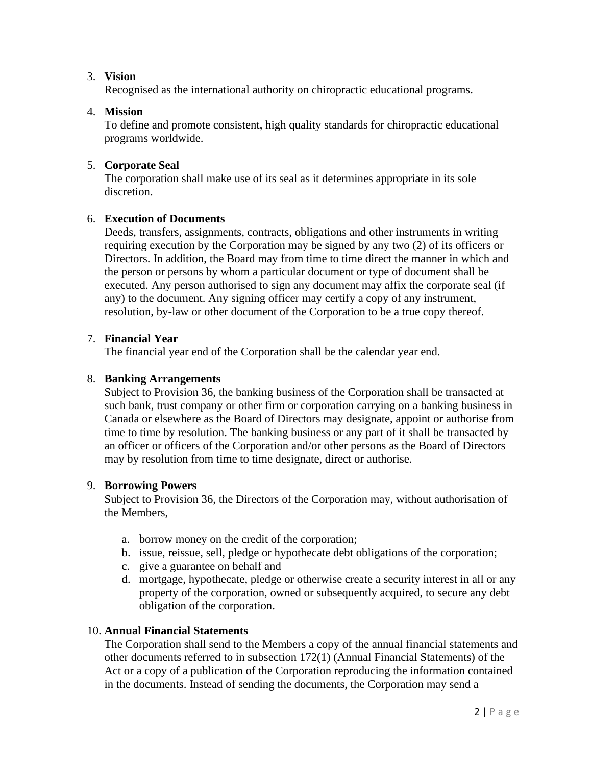# 3. **Vision**

Recognised as the international authority on chiropractic educational programs.

## 4. **Mission**

To define and promote consistent, high quality standards for chiropractic educational programs worldwide.

## 5. **Corporate Seal**

The corporation shall make use of its seal as it determines appropriate in its sole discretion.

## 6. **Execution of Documents**

Deeds, transfers, assignments, contracts, obligations and other instruments in writing requiring execution by the Corporation may be signed by any two (2) of its officers or Directors. In addition, the Board may from time to time direct the manner in which and the person or persons by whom a particular document or type of document shall be executed. Any person authorised to sign any document may affix the corporate seal (if any) to the document. Any signing officer may certify a copy of any instrument, resolution, by-law or other document of the Corporation to be a true copy thereof.

#### 7. **Financial Year**

The financial year end of the Corporation shall be the calendar year end.

## 8. **Banking Arrangements**

Subject to Provision 36, the banking business of the Corporation shall be transacted at such bank, trust company or other firm or corporation carrying on a banking business in Canada or elsewhere as the Board of Directors may designate, appoint or authorise from time to time by resolution. The banking business or any part of it shall be transacted by an officer or officers of the Corporation and/or other persons as the Board of Directors may by resolution from time to time designate, direct or authorise.

#### 9. **Borrowing Powers**

Subject to Provision 36, the Directors of the Corporation may, without authorisation of the Members,

- a. borrow money on the credit of the corporation;
- b. issue, reissue, sell, pledge or hypothecate debt obligations of the corporation;
- c. give a guarantee on behalf and
- d. mortgage, hypothecate, pledge or otherwise create a security interest in all or any property of the corporation, owned or subsequently acquired, to secure any debt obligation of the corporation.

#### 10. **Annual Financial Statements**

The Corporation shall send to the Members a copy of the annual financial statements and other documents referred to in subsection 172(1) (Annual Financial Statements) of the Act or a copy of a publication of the Corporation reproducing the information contained in the documents. Instead of sending the documents, the Corporation may send a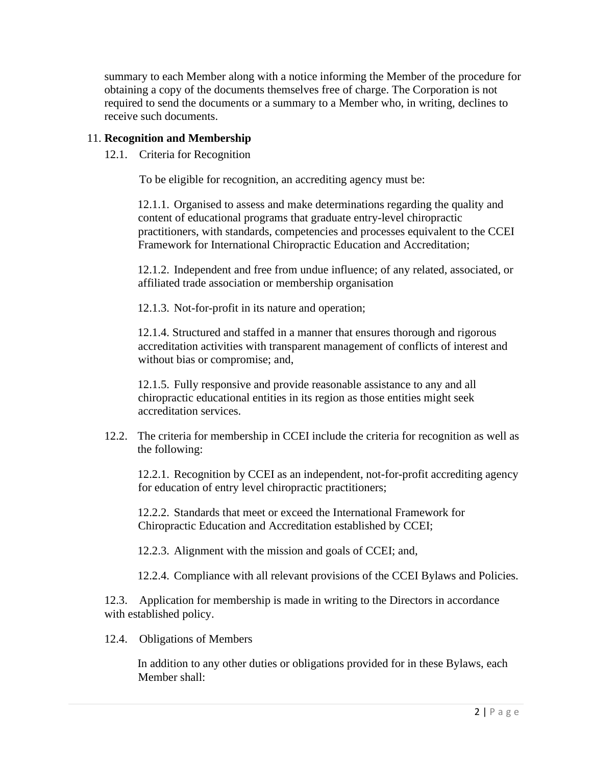summary to each Member along with a notice informing the Member of the procedure for obtaining a copy of the documents themselves free of charge. The Corporation is not required to send the documents or a summary to a Member who, in writing, declines to receive such documents.

## 11. **Recognition and Membership**

12.1. Criteria for Recognition

To be eligible for recognition, an accrediting agency must be:

12.1.1. Organised to assess and make determinations regarding the quality and content of educational programs that graduate entry-level chiropractic practitioners, with standards, competencies and processes equivalent to the CCEI Framework for International Chiropractic Education and Accreditation;

12.1.2. Independent and free from undue influence; of any related, associated, or affiliated trade association or membership organisation

12.1.3. Not-for-profit in its nature and operation;

12.1.4. Structured and staffed in a manner that ensures thorough and rigorous accreditation activities with transparent management of conflicts of interest and without bias or compromise; and,

12.1.5. Fully responsive and provide reasonable assistance to any and all chiropractic educational entities in its region as those entities might seek accreditation services.

12.2. The criteria for membership in CCEI include the criteria for recognition as well as the following:

12.2.1. Recognition by CCEI as an independent, not-for-profit accrediting agency for education of entry level chiropractic practitioners;

12.2.2. Standards that meet or exceed the International Framework for Chiropractic Education and Accreditation established by CCEI;

12.2.3. Alignment with the mission and goals of CCEI; and,

12.2.4. Compliance with all relevant provisions of the CCEI Bylaws and Policies.

12.3. Application for membership is made in writing to the Directors in accordance with established policy.

12.4. Obligations of Members

In addition to any other duties or obligations provided for in these Bylaws, each Member shall: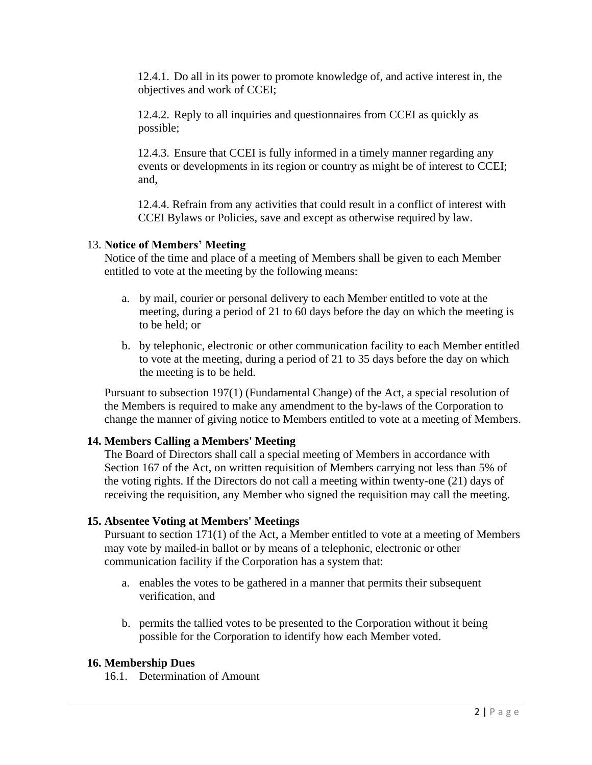12.4.1. Do all in its power to promote knowledge of, and active interest in, the objectives and work of CCEI;

12.4.2. Reply to all inquiries and questionnaires from CCEI as quickly as possible;

12.4.3. Ensure that CCEI is fully informed in a timely manner regarding any events or developments in its region or country as might be of interest to CCEI; and,

12.4.4. Refrain from any activities that could result in a conflict of interest with CCEI Bylaws or Policies, save and except as otherwise required by law.

## 13. **Notice of Members' Meeting**

Notice of the time and place of a meeting of Members shall be given to each Member entitled to vote at the meeting by the following means:

- a. by mail, courier or personal delivery to each Member entitled to vote at the meeting, during a period of 21 to 60 days before the day on which the meeting is to be held; or
- b. by telephonic, electronic or other communication facility to each Member entitled to vote at the meeting, during a period of 21 to 35 days before the day on which the meeting is to be held.

Pursuant to subsection 197(1) (Fundamental Change) of the Act, a special resolution of the Members is required to make any amendment to the by-laws of the Corporation to change the manner of giving notice to Members entitled to vote at a meeting of Members.

# **14. Members Calling a Members' Meeting**

The Board of Directors shall call a special meeting of Members in accordance with Section 167 of the Act, on written requisition of Members carrying not less than 5% of the voting rights. If the Directors do not call a meeting within twenty-one (21) days of receiving the requisition, any Member who signed the requisition may call the meeting.

# **15. Absentee Voting at Members' Meetings**

Pursuant to section 171(1) of the Act, a Member entitled to vote at a meeting of Members may vote by mailed-in ballot or by means of a telephonic, electronic or other communication facility if the Corporation has a system that:

- a. enables the votes to be gathered in a manner that permits their subsequent verification, and
- b. permits the tallied votes to be presented to the Corporation without it being possible for the Corporation to identify how each Member voted.

# **16. Membership Dues**

16.1. Determination of Amount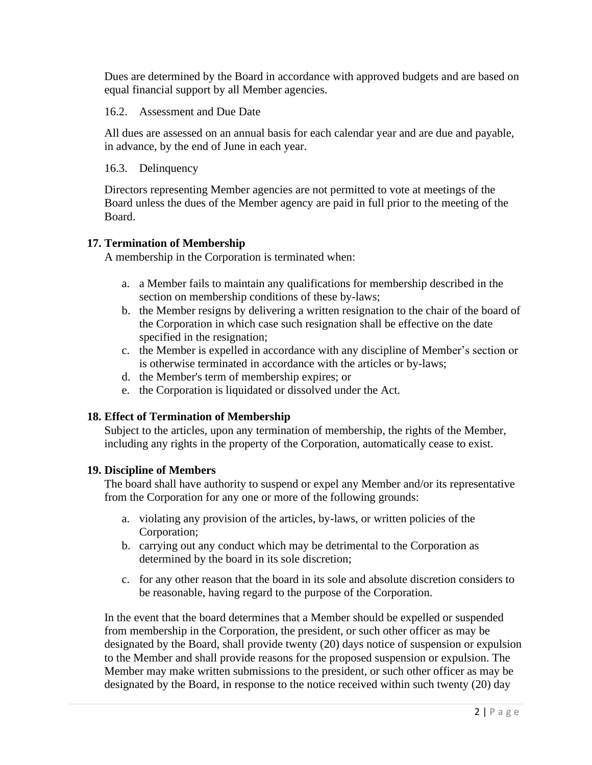Dues are determined by the Board in accordance with approved budgets and are based on equal financial support by all Member agencies.

#### 16.2. Assessment and Due Date

All dues are assessed on an annual basis for each calendar year and are due and payable, in advance, by the end of June in each year.

16.3. Delinquency

Directors representing Member agencies are not permitted to vote at meetings of the Board unless the dues of the Member agency are paid in full prior to the meeting of the Board.

## **17. Termination of Membership**

A membership in the Corporation is terminated when:

- a. a Member fails to maintain any qualifications for membership described in the section on membership conditions of these by-laws;
- b. the Member resigns by delivering a written resignation to the chair of the board of the Corporation in which case such resignation shall be effective on the date specified in the resignation;
- c. the Member is expelled in accordance with any discipline of Member's section or is otherwise terminated in accordance with the articles or by-laws;
- d. the Member's term of membership expires; or
- e. the Corporation is liquidated or dissolved under the Act.

# **18. Effect of Termination of Membership**

Subject to the articles, upon any termination of membership, the rights of the Member, including any rights in the property of the Corporation, automatically cease to exist.

# **19. Discipline of Members**

The board shall have authority to suspend or expel any Member and/or its representative from the Corporation for any one or more of the following grounds:

- a. violating any provision of the articles, by-laws, or written policies of the Corporation;
- b. carrying out any conduct which may be detrimental to the Corporation as determined by the board in its sole discretion;
- c. for any other reason that the board in its sole and absolute discretion considers to be reasonable, having regard to the purpose of the Corporation.

In the event that the board determines that a Member should be expelled or suspended from membership in the Corporation, the president, or such other officer as may be designated by the Board, shall provide twenty (20) days notice of suspension or expulsion to the Member and shall provide reasons for the proposed suspension or expulsion. The Member may make written submissions to the president, or such other officer as may be designated by the Board, in response to the notice received within such twenty (20) day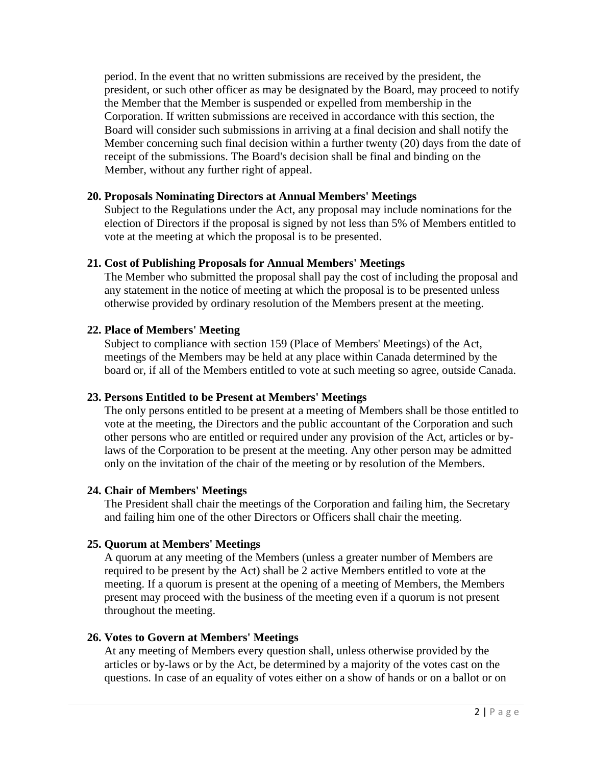period. In the event that no written submissions are received by the president, the president, or such other officer as may be designated by the Board, may proceed to notify the Member that the Member is suspended or expelled from membership in the Corporation. If written submissions are received in accordance with this section, the Board will consider such submissions in arriving at a final decision and shall notify the Member concerning such final decision within a further twenty (20) days from the date of receipt of the submissions. The Board's decision shall be final and binding on the Member, without any further right of appeal.

## **20. Proposals Nominating Directors at Annual Members' Meetings**

Subject to the Regulations under the Act, any proposal may include nominations for the election of Directors if the proposal is signed by not less than 5% of Members entitled to vote at the meeting at which the proposal is to be presented.

## **21. Cost of Publishing Proposals for Annual Members' Meetings**

The Member who submitted the proposal shall pay the cost of including the proposal and any statement in the notice of meeting at which the proposal is to be presented unless otherwise provided by ordinary resolution of the Members present at the meeting.

# **22. Place of Members' Meeting**

Subject to compliance with section 159 (Place of Members' Meetings) of the Act, meetings of the Members may be held at any place within Canada determined by the board or, if all of the Members entitled to vote at such meeting so agree, outside Canada.

#### **23. Persons Entitled to be Present at Members' Meetings**

The only persons entitled to be present at a meeting of Members shall be those entitled to vote at the meeting, the Directors and the public accountant of the Corporation and such other persons who are entitled or required under any provision of the Act, articles or bylaws of the Corporation to be present at the meeting. Any other person may be admitted only on the invitation of the chair of the meeting or by resolution of the Members.

# **24. Chair of Members' Meetings**

The President shall chair the meetings of the Corporation and failing him, the Secretary and failing him one of the other Directors or Officers shall chair the meeting.

# **25. Quorum at Members' Meetings**

A quorum at any meeting of the Members (unless a greater number of Members are required to be present by the Act) shall be 2 active Members entitled to vote at the meeting. If a quorum is present at the opening of a meeting of Members, the Members present may proceed with the business of the meeting even if a quorum is not present throughout the meeting.

#### **26. Votes to Govern at Members' Meetings**

At any meeting of Members every question shall, unless otherwise provided by the articles or by-laws or by the Act, be determined by a majority of the votes cast on the questions. In case of an equality of votes either on a show of hands or on a ballot or on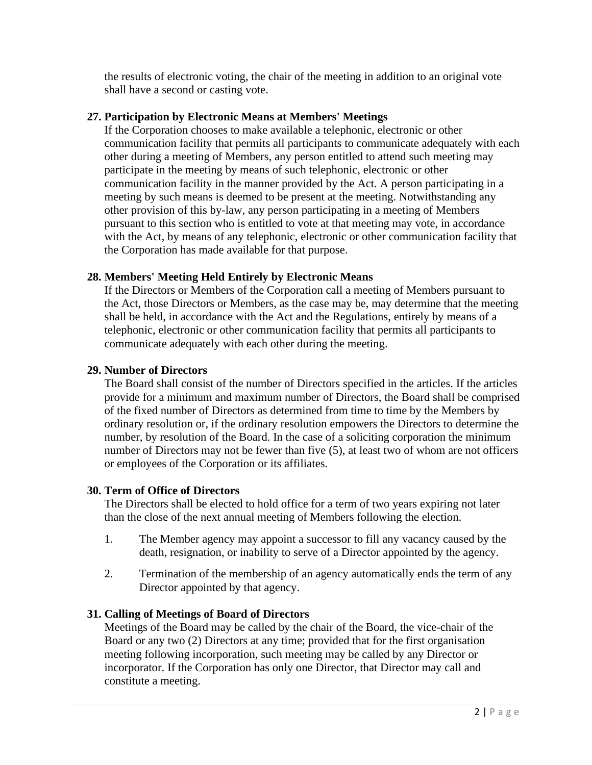the results of electronic voting, the chair of the meeting in addition to an original vote shall have a second or casting vote.

## **27. Participation by Electronic Means at Members' Meetings**

If the Corporation chooses to make available a telephonic, electronic or other communication facility that permits all participants to communicate adequately with each other during a meeting of Members, any person entitled to attend such meeting may participate in the meeting by means of such telephonic, electronic or other communication facility in the manner provided by the Act. A person participating in a meeting by such means is deemed to be present at the meeting. Notwithstanding any other provision of this by-law, any person participating in a meeting of Members pursuant to this section who is entitled to vote at that meeting may vote, in accordance with the Act, by means of any telephonic, electronic or other communication facility that the Corporation has made available for that purpose.

# **28. Members' Meeting Held Entirely by Electronic Means**

If the Directors or Members of the Corporation call a meeting of Members pursuant to the Act, those Directors or Members, as the case may be, may determine that the meeting shall be held, in accordance with the Act and the Regulations, entirely by means of a telephonic, electronic or other communication facility that permits all participants to communicate adequately with each other during the meeting.

## **29. Number of Directors**

The Board shall consist of the number of Directors specified in the articles. If the articles provide for a minimum and maximum number of Directors, the Board shall be comprised of the fixed number of Directors as determined from time to time by the Members by ordinary resolution or, if the ordinary resolution empowers the Directors to determine the number, by resolution of the Board. In the case of a soliciting corporation the minimum number of Directors may not be fewer than five (5), at least two of whom are not officers or employees of the Corporation or its affiliates.

# **30. Term of Office of Directors**

The Directors shall be elected to hold office for a term of two years expiring not later than the close of the next annual meeting of Members following the election.

- 1. The Member agency may appoint a successor to fill any vacancy caused by the death, resignation, or inability to serve of a Director appointed by the agency.
- 2. Termination of the membership of an agency automatically ends the term of any Director appointed by that agency.

# **31. Calling of Meetings of Board of Directors**

Meetings of the Board may be called by the chair of the Board, the vice-chair of the Board or any two (2) Directors at any time; provided that for the first organisation meeting following incorporation, such meeting may be called by any Director or incorporator. If the Corporation has only one Director, that Director may call and constitute a meeting.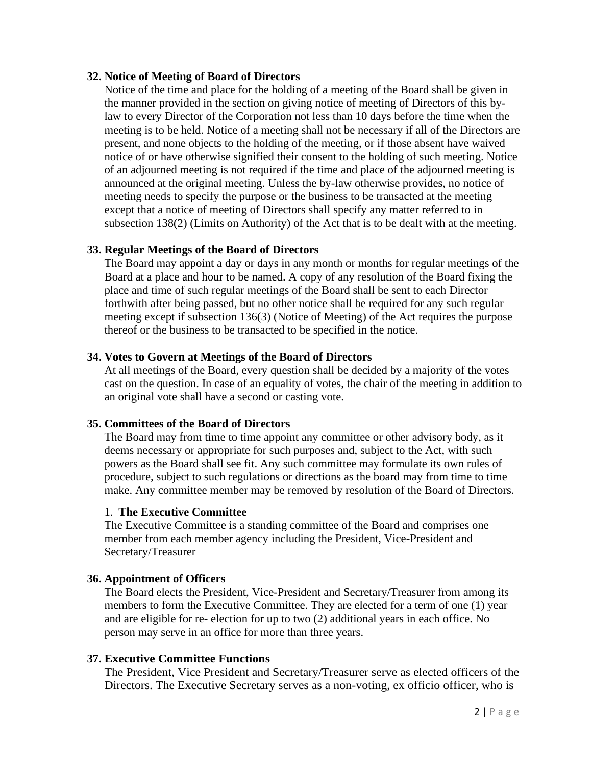#### **32. Notice of Meeting of Board of Directors**

Notice of the time and place for the holding of a meeting of the Board shall be given in the manner provided in the section on giving notice of meeting of Directors of this bylaw to every Director of the Corporation not less than 10 days before the time when the meeting is to be held. Notice of a meeting shall not be necessary if all of the Directors are present, and none objects to the holding of the meeting, or if those absent have waived notice of or have otherwise signified their consent to the holding of such meeting. Notice of an adjourned meeting is not required if the time and place of the adjourned meeting is announced at the original meeting. Unless the by-law otherwise provides, no notice of meeting needs to specify the purpose or the business to be transacted at the meeting except that a notice of meeting of Directors shall specify any matter referred to in subsection 138(2) (Limits on Authority) of the Act that is to be dealt with at the meeting.

# **33. Regular Meetings of the Board of Directors**

The Board may appoint a day or days in any month or months for regular meetings of the Board at a place and hour to be named. A copy of any resolution of the Board fixing the place and time of such regular meetings of the Board shall be sent to each Director forthwith after being passed, but no other notice shall be required for any such regular meeting except if subsection 136(3) (Notice of Meeting) of the Act requires the purpose thereof or the business to be transacted to be specified in the notice.

## **34. Votes to Govern at Meetings of the Board of Directors**

At all meetings of the Board, every question shall be decided by a majority of the votes cast on the question. In case of an equality of votes, the chair of the meeting in addition to an original vote shall have a second or casting vote.

#### **35. Committees of the Board of Directors**

The Board may from time to time appoint any committee or other advisory body, as it deems necessary or appropriate for such purposes and, subject to the Act, with such powers as the Board shall see fit. Any such committee may formulate its own rules of procedure, subject to such regulations or directions as the board may from time to time make. Any committee member may be removed by resolution of the Board of Directors.

#### 1. **The Executive Committee**

The Executive Committee is a standing committee of the Board and comprises one member from each member agency including the President, Vice-President and Secretary/Treasurer

# **36. Appointment of Officers**

The Board elects the President, Vice-President and Secretary/Treasurer from among its members to form the Executive Committee. They are elected for a term of one (1) year and are eligible for re- election for up to two (2) additional years in each office. No person may serve in an office for more than three years.

#### **37. Executive Committee Functions**

The President, Vice President and Secretary/Treasurer serve as elected officers of the Directors. The Executive Secretary serves as a non-voting, ex officio officer, who is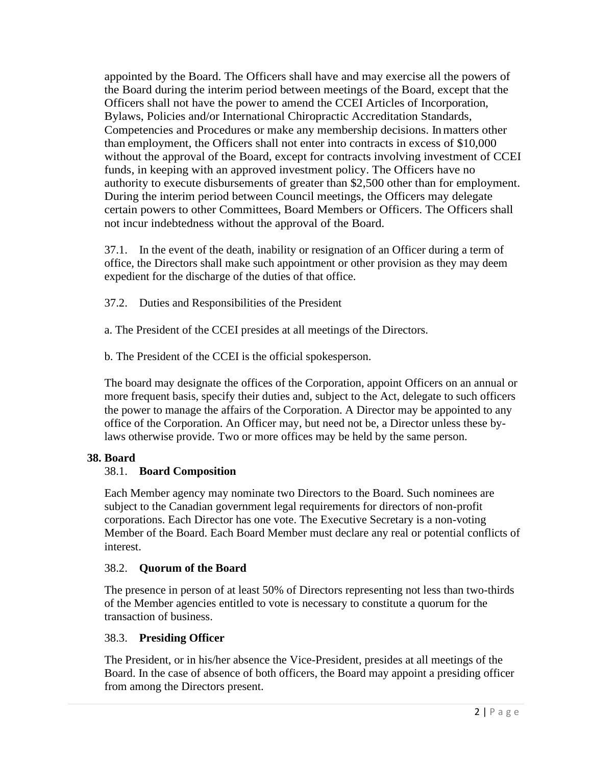appointed by the Board. The Officers shall have and may exercise all the powers of the Board during the interim period between meetings of the Board, except that the Officers shall not have the power to amend the CCEI Articles of Incorporation, Bylaws, Policies and/or International Chiropractic Accreditation Standards, Competencies and Procedures or make any membership decisions. In matters other than employment, the Officers shall not enter into contracts in excess of \$10,000 without the approval of the Board, except for contracts involving investment of CCEI funds, in keeping with an approved investment policy. The Officers have no authority to execute disbursements of greater than \$2,500 other than for employment. During the interim period between Council meetings, the Officers may delegate certain powers to other Committees, Board Members or Officers. The Officers shall not incur indebtedness without the approval of the Board.

37.1. In the event of the death, inability or resignation of an Officer during a term of office, the Directors shall make such appointment or other provision as they may deem expedient for the discharge of the duties of that office.

37.2. Duties and Responsibilities of the President

a. The President of the CCEI presides at all meetings of the Directors.

b. The President of the CCEI is the official spokesperson.

The board may designate the offices of the Corporation, appoint Officers on an annual or more frequent basis, specify their duties and, subject to the Act, delegate to such officers the power to manage the affairs of the Corporation. A Director may be appointed to any office of the Corporation. An Officer may, but need not be, a Director unless these bylaws otherwise provide. Two or more offices may be held by the same person.

# **38. Board**

# 38.1. **Board Composition**

Each Member agency may nominate two Directors to the Board. Such nominees are subject to the Canadian government legal requirements for directors of non-profit corporations. Each Director has one vote. The Executive Secretary is a non-voting Member of the Board. Each Board Member must declare any real or potential conflicts of interest.

# 38.2. **Quorum of the Board**

The presence in person of at least 50% of Directors representing not less than two-thirds of the Member agencies entitled to vote is necessary to constitute a quorum for the transaction of business.

# 38.3. **Presiding Officer**

The President, or in his/her absence the Vice-President, presides at all meetings of the Board. In the case of absence of both officers, the Board may appoint a presiding officer from among the Directors present.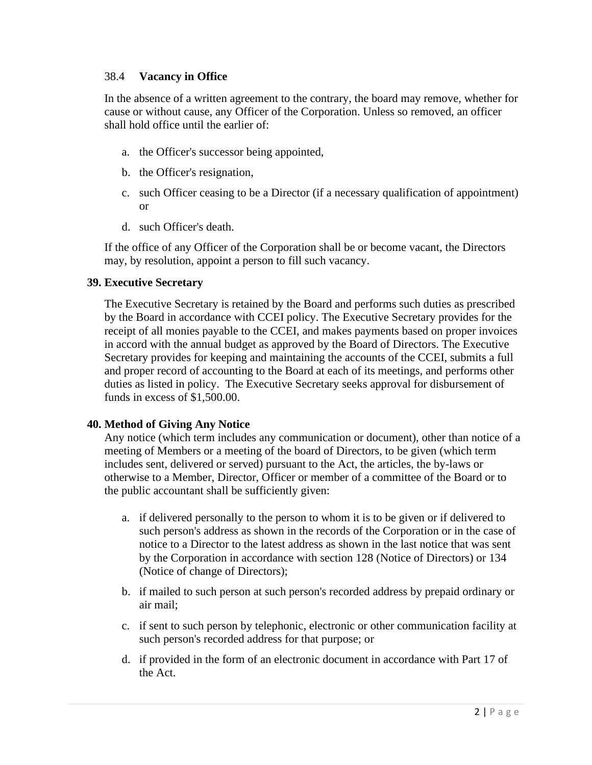# 38.4 **Vacancy in Office**

In the absence of a written agreement to the contrary, the board may remove, whether for cause or without cause, any Officer of the Corporation. Unless so removed, an officer shall hold office until the earlier of:

- a. the Officer's successor being appointed,
- b. the Officer's resignation,
- c. such Officer ceasing to be a Director (if a necessary qualification of appointment) or
- d. such Officer's death.

If the office of any Officer of the Corporation shall be or become vacant, the Directors may, by resolution, appoint a person to fill such vacancy.

# **39. Executive Secretary**

The Executive Secretary is retained by the Board and performs such duties as prescribed by the Board in accordance with CCEI policy. The Executive Secretary provides for the receipt of all monies payable to the CCEI, and makes payments based on proper invoices in accord with the annual budget as approved by the Board of Directors. The Executive Secretary provides for keeping and maintaining the accounts of the CCEI, submits a full and proper record of accounting to the Board at each of its meetings, and performs other duties as listed in policy. The Executive Secretary seeks approval for disbursement of funds in excess of \$1,500.00.

# **40. Method of Giving Any Notice**

Any notice (which term includes any communication or document), other than notice of a meeting of Members or a meeting of the board of Directors, to be given (which term includes sent, delivered or served) pursuant to the Act, the articles, the by-laws or otherwise to a Member, Director, Officer or member of a committee of the Board or to the public accountant shall be sufficiently given:

- a. if delivered personally to the person to whom it is to be given or if delivered to such person's address as shown in the records of the Corporation or in the case of notice to a Director to the latest address as shown in the last notice that was sent by the Corporation in accordance with section 128 (Notice of Directors) or 134 (Notice of change of Directors);
- b. if mailed to such person at such person's recorded address by prepaid ordinary or air mail;
- c. if sent to such person by telephonic, electronic or other communication facility at such person's recorded address for that purpose; or
- d. if provided in the form of an electronic document in accordance with Part 17 of the Act.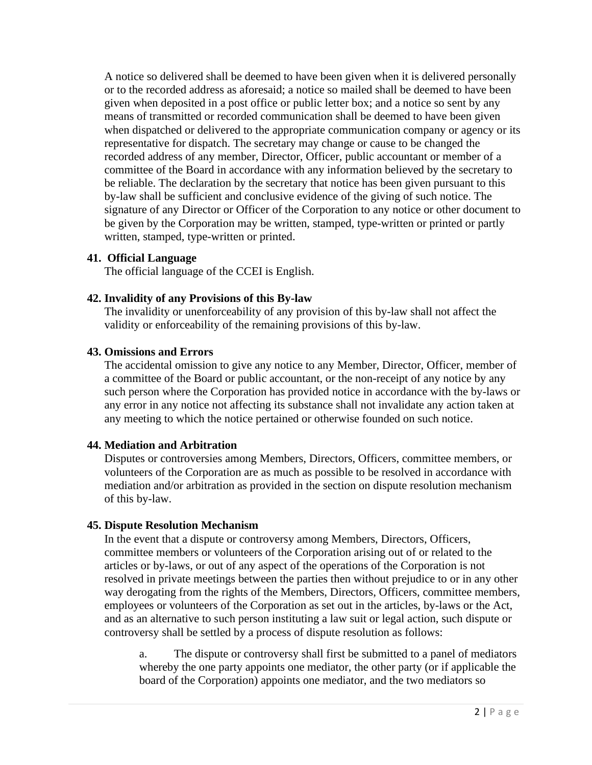A notice so delivered shall be deemed to have been given when it is delivered personally or to the recorded address as aforesaid; a notice so mailed shall be deemed to have been given when deposited in a post office or public letter box; and a notice so sent by any means of transmitted or recorded communication shall be deemed to have been given when dispatched or delivered to the appropriate communication company or agency or its representative for dispatch. The secretary may change or cause to be changed the recorded address of any member, Director, Officer, public accountant or member of a committee of the Board in accordance with any information believed by the secretary to be reliable. The declaration by the secretary that notice has been given pursuant to this by-law shall be sufficient and conclusive evidence of the giving of such notice. The signature of any Director or Officer of the Corporation to any notice or other document to be given by the Corporation may be written, stamped, type-written or printed or partly written, stamped, type-written or printed.

## **41. Official Language**

The official language of the CCEI is English.

## **42. Invalidity of any Provisions of this By-law**

The invalidity or unenforceability of any provision of this by-law shall not affect the validity or enforceability of the remaining provisions of this by-law.

## **43. Omissions and Errors**

The accidental omission to give any notice to any Member, Director, Officer, member of a committee of the Board or public accountant, or the non-receipt of any notice by any such person where the Corporation has provided notice in accordance with the by-laws or any error in any notice not affecting its substance shall not invalidate any action taken at any meeting to which the notice pertained or otherwise founded on such notice.

# **44. Mediation and Arbitration**

Disputes or controversies among Members, Directors, Officers, committee members, or volunteers of the Corporation are as much as possible to be resolved in accordance with mediation and/or arbitration as provided in the section on dispute resolution mechanism of this by-law.

#### **45. Dispute Resolution Mechanism**

In the event that a dispute or controversy among Members, Directors, Officers, committee members or volunteers of the Corporation arising out of or related to the articles or by-laws, or out of any aspect of the operations of the Corporation is not resolved in private meetings between the parties then without prejudice to or in any other way derogating from the rights of the Members, Directors, Officers, committee members, employees or volunteers of the Corporation as set out in the articles, by-laws or the Act, and as an alternative to such person instituting a law suit or legal action, such dispute or controversy shall be settled by a process of dispute resolution as follows:

a. The dispute or controversy shall first be submitted to a panel of mediators whereby the one party appoints one mediator, the other party (or if applicable the board of the Corporation) appoints one mediator, and the two mediators so